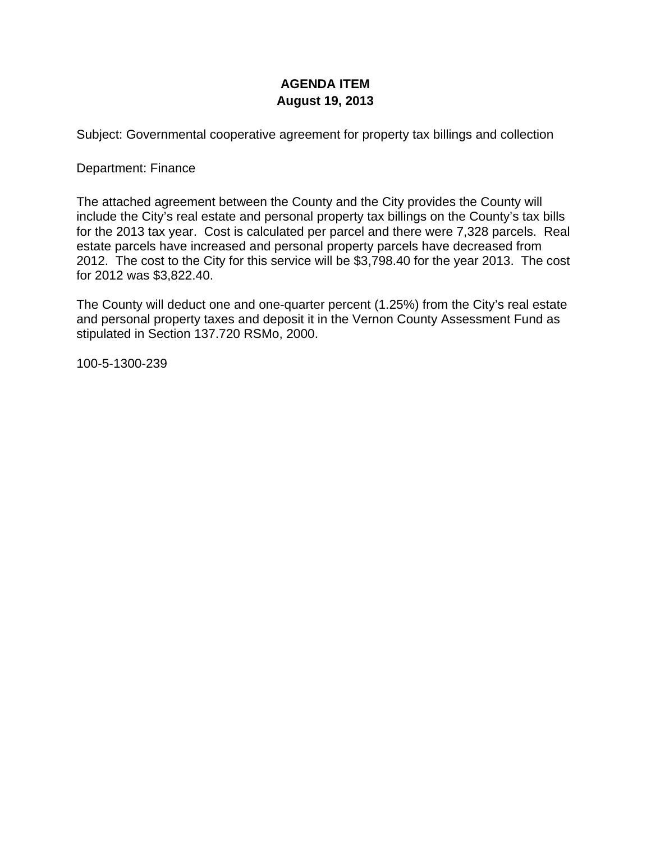# **AGENDA ITEM August 19, 2013**

Subject: Governmental cooperative agreement for property tax billings and collection

### Department: Finance

The attached agreement between the County and the City provides the County will include the City's real estate and personal property tax billings on the County's tax bills for the 2013 tax year. Cost is calculated per parcel and there were 7,328 parcels. Real estate parcels have increased and personal property parcels have decreased from 2012. The cost to the City for this service will be \$3,798.40 for the year 2013. The cost for 2012 was \$3,822.40.

The County will deduct one and one-quarter percent (1.25%) from the City's real estate and personal property taxes and deposit it in the Vernon County Assessment Fund as stipulated in Section 137.720 RSMo, 2000.

100-5-1300-239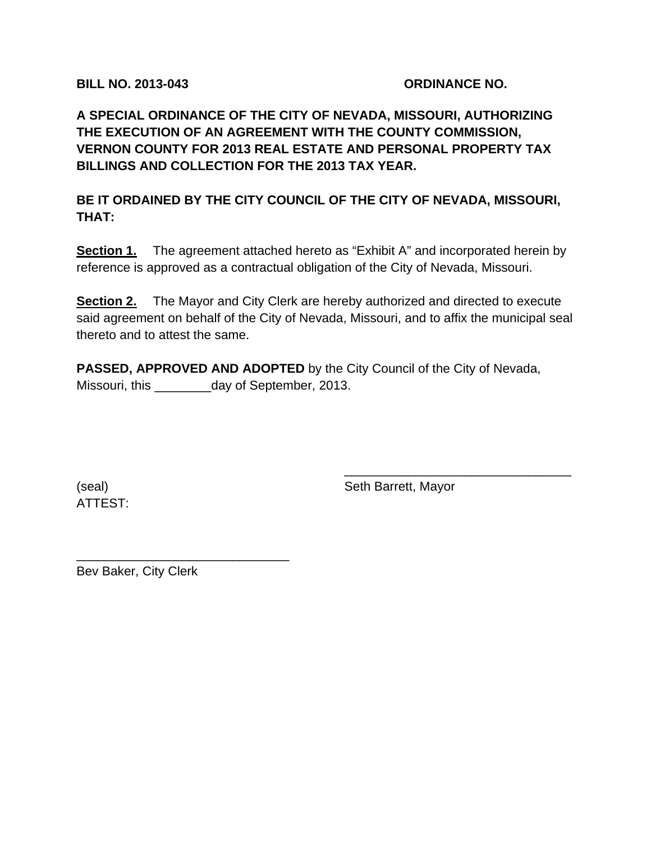**BILL NO. 2013-043 ORDINANCE NO.** 

**A SPECIAL ORDINANCE OF THE CITY OF NEVADA, MISSOURI, AUTHORIZING THE EXECUTION OF AN AGREEMENT WITH THE COUNTY COMMISSION, VERNON COUNTY FOR 2013 REAL ESTATE AND PERSONAL PROPERTY TAX BILLINGS AND COLLECTION FOR THE 2013 TAX YEAR.** 

**BE IT ORDAINED BY THE CITY COUNCIL OF THE CITY OF NEVADA, MISSOURI, THAT:** 

**Section 1.** The agreement attached hereto as "Exhibit A" and incorporated herein by reference is approved as a contractual obligation of the City of Nevada, Missouri.

**Section 2.** The Mayor and City Clerk are hereby authorized and directed to execute said agreement on behalf of the City of Nevada, Missouri, and to affix the municipal seal thereto and to attest the same.

 $\overline{\phantom{a}}$  , and the contract of the contract of the contract of the contract of the contract of the contract of the contract of the contract of the contract of the contract of the contract of the contract of the contrac

**PASSED, APPROVED AND ADOPTED** by the City Council of the City of Nevada, Missouri, this \_\_\_\_\_\_\_\_day of September, 2013.

ATTEST:

(seal) Seth Barrett, Mayor

Bev Baker, City Clerk

\_\_\_\_\_\_\_\_\_\_\_\_\_\_\_\_\_\_\_\_\_\_\_\_\_\_\_\_\_\_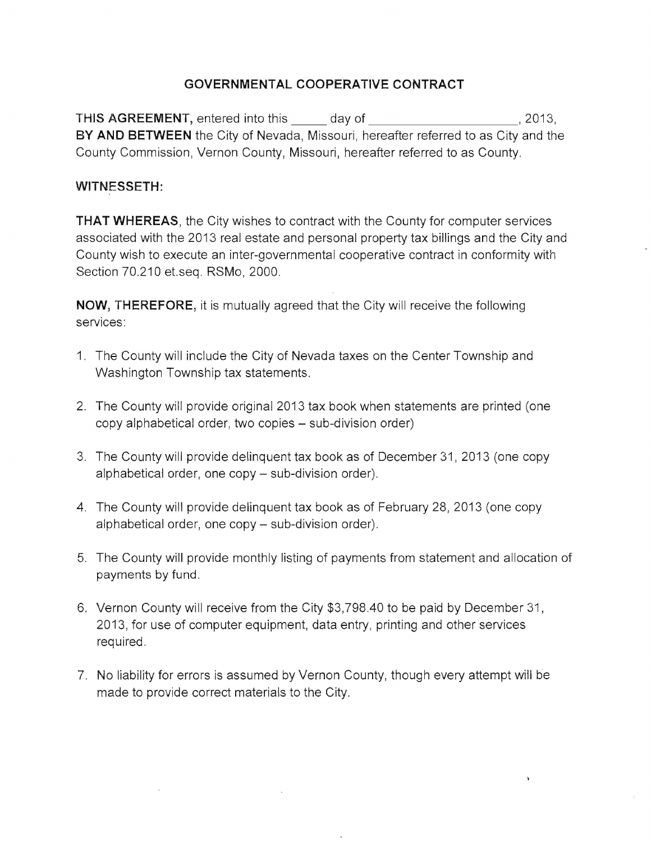# **GOVERNMENTAL COOPERATIVE CONTRACT**

THIS AGREEMENT, entered into this day of **EXAMPLE 100 AGREEMENT**, entered into this day of **BY AND BETWEEN** the City of Nevada, Missouri, hereafter referred to as City and the County Commission, Vernon County, Missouri, hereafter referred to as County.

### **WITNESSETH:**

**THAT WHEREAS,** the City wishes to contract with the County for computer services associated with the 2013 real estate and personal property tax billings and the City and County wish to execute an inter-governmental cooperative contract in conformity with Section 70.210 et.seq. RSMo, 2000.

**NOW, THEREFORE,** it is mutually agreed that the City will receive the following services:

- 1. The County will include the City of Nevada taxes on the Center Township and Washington Township tax statements.
- 2. The County will provide original 2013 tax book when statements are printed (one copy alphabetical order, two copies – sub-division order)
- 3. The County will provide delinquent tax book as of December 31, 2013 (one copy alphabetical order, one  $copy - sub-division order$ ).
- 4. The County will provide delinquent tax book as of February 28, 2013 (one copy alphabetical order, one copy - sub-division order).
- 5. The County will provide monthly listing of payments from statement and allocation of payments by fund.
- 6. Vernon County will receive from the City \$3,798.40 to be paid by December 31, 2013, for use of computer equipment, data entry, printing and other services required.
- 7. No liability for errors is assumed by Vernon County, though every attempt will be made to provide correct materials to the City.